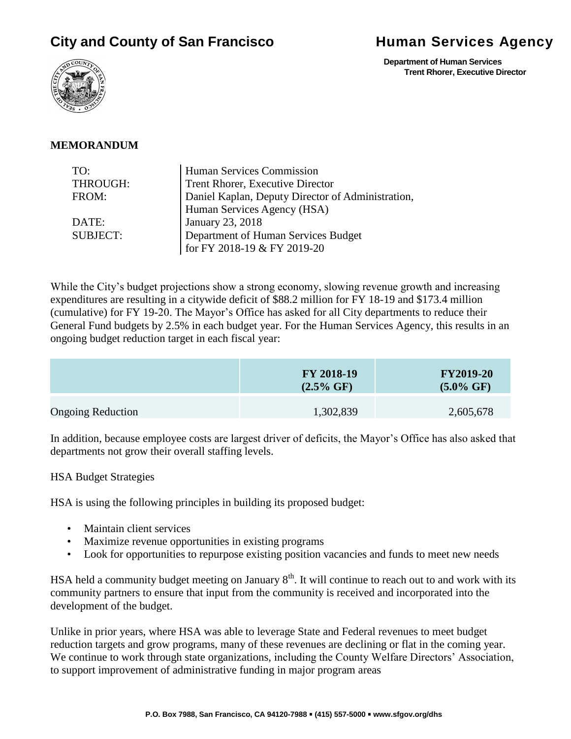# **City and County of San Francisco Bullet and Services Agency**

 **Department of Human Services Trent Rhorer, Executive Director**



#### **MEMORANDUM**

| TO:             | Human Services Commission                         |  |
|-----------------|---------------------------------------------------|--|
| THROUGH:        | Trent Rhorer, Executive Director                  |  |
| FROM:           | Daniel Kaplan, Deputy Director of Administration, |  |
|                 | Human Services Agency (HSA)                       |  |
| DATE:           | January 23, 2018                                  |  |
| <b>SUBJECT:</b> | Department of Human Services Budget               |  |
|                 | for FY 2018-19 & FY 2019-20                       |  |

While the City's budget projections show a strong economy, slowing revenue growth and increasing expenditures are resulting in a citywide deficit of \$88.2 million for FY 18-19 and \$173.4 million (cumulative) for FY 19-20. The Mayor's Office has asked for all City departments to reduce their General Fund budgets by 2.5% in each budget year. For the Human Services Agency, this results in an ongoing budget reduction target in each fiscal year:

|                          | FY 2018-19<br>$(2.5\% \text{ GF})$ | <b>FY2019-20</b><br>$(5.0\% \text{ GF})$ |
|--------------------------|------------------------------------|------------------------------------------|
| <b>Ongoing Reduction</b> | 1,302,839                          | 2,605,678                                |

In addition, because employee costs are largest driver of deficits, the Mayor's Office has also asked that departments not grow their overall staffing levels.

#### HSA Budget Strategies

HSA is using the following principles in building its proposed budget:

- Maintain client services
- Maximize revenue opportunities in existing programs
- Look for opportunities to repurpose existing position vacancies and funds to meet new needs

HSA held a community budget meeting on January  $8<sup>th</sup>$ . It will continue to reach out to and work with its community partners to ensure that input from the community is received and incorporated into the development of the budget.

Unlike in prior years, where HSA was able to leverage State and Federal revenues to meet budget reduction targets and grow programs, many of these revenues are declining or flat in the coming year. We continue to work through state organizations, including the County Welfare Directors' Association, to support improvement of administrative funding in major program areas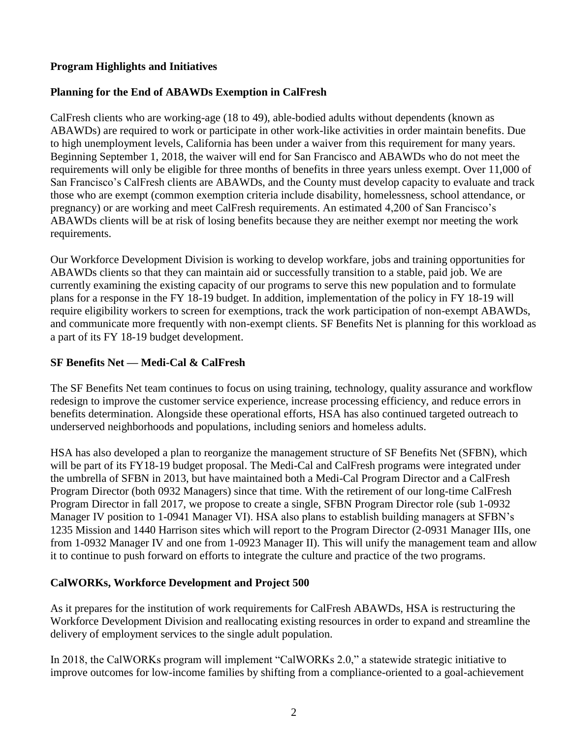## **Program Highlights and Initiatives**

## **Planning for the End of ABAWDs Exemption in CalFresh**

CalFresh clients who are working-age (18 to 49), able-bodied adults without dependents (known as ABAWDs) are required to work or participate in other work-like activities in order maintain benefits. Due to high unemployment levels, California has been under a waiver from this requirement for many years. Beginning September 1, 2018, the waiver will end for San Francisco and ABAWDs who do not meet the requirements will only be eligible for three months of benefits in three years unless exempt. Over 11,000 of San Francisco's CalFresh clients are ABAWDs, and the County must develop capacity to evaluate and track those who are exempt (common exemption criteria include disability, homelessness, school attendance, or pregnancy) or are working and meet CalFresh requirements. An estimated 4,200 of San Francisco's ABAWDs clients will be at risk of losing benefits because they are neither exempt nor meeting the work requirements.

Our Workforce Development Division is working to develop workfare, jobs and training opportunities for ABAWDs clients so that they can maintain aid or successfully transition to a stable, paid job. We are currently examining the existing capacity of our programs to serve this new population and to formulate plans for a response in the FY 18-19 budget. In addition, implementation of the policy in FY 18-19 will require eligibility workers to screen for exemptions, track the work participation of non-exempt ABAWDs, and communicate more frequently with non-exempt clients. SF Benefits Net is planning for this workload as a part of its FY 18-19 budget development.

#### **SF Benefits Net — Medi-Cal & CalFresh**

The SF Benefits Net team continues to focus on using training, technology, quality assurance and workflow redesign to improve the customer service experience, increase processing efficiency, and reduce errors in benefits determination. Alongside these operational efforts, HSA has also continued targeted outreach to underserved neighborhoods and populations, including seniors and homeless adults.

HSA has also developed a plan to reorganize the management structure of SF Benefits Net (SFBN), which will be part of its FY18-19 budget proposal. The Medi-Cal and CalFresh programs were integrated under the umbrella of SFBN in 2013, but have maintained both a Medi-Cal Program Director and a CalFresh Program Director (both 0932 Managers) since that time. With the retirement of our long-time CalFresh Program Director in fall 2017, we propose to create a single, SFBN Program Director role (sub 1-0932 Manager IV position to 1-0941 Manager VI). HSA also plans to establish building managers at SFBN's 1235 Mission and 1440 Harrison sites which will report to the Program Director (2-0931 Manager IIIs, one from 1-0932 Manager IV and one from 1-0923 Manager II). This will unify the management team and allow it to continue to push forward on efforts to integrate the culture and practice of the two programs.

#### **CalWORKs, Workforce Development and Project 500**

As it prepares for the institution of work requirements for CalFresh ABAWDs, HSA is restructuring the Workforce Development Division and reallocating existing resources in order to expand and streamline the delivery of employment services to the single adult population.

In 2018, the CalWORKs program will implement "CalWORKs 2.0," a statewide strategic initiative to improve outcomes for low-income families by shifting from a compliance-oriented to a goal-achievement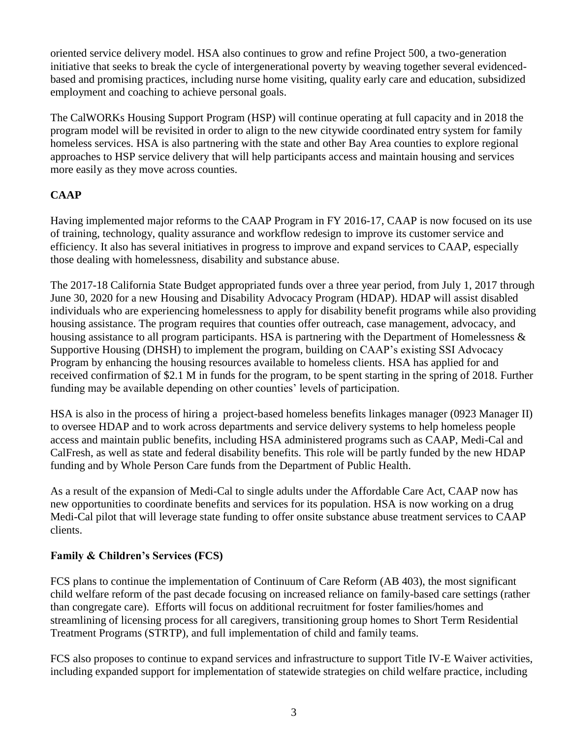oriented service delivery model. HSA also continues to grow and refine Project 500, a two-generation initiative that seeks to break the cycle of intergenerational poverty by weaving together several evidencedbased and promising practices, including nurse home visiting, quality early care and education, subsidized employment and coaching to achieve personal goals.

The CalWORKs Housing Support Program (HSP) will continue operating at full capacity and in 2018 the program model will be revisited in order to align to the new citywide coordinated entry system for family homeless services. HSA is also partnering with the state and other Bay Area counties to explore regional approaches to HSP service delivery that will help participants access and maintain housing and services more easily as they move across counties.

# **CAAP**

Having implemented major reforms to the CAAP Program in FY 2016-17, CAAP is now focused on its use of training, technology, quality assurance and workflow redesign to improve its customer service and efficiency. It also has several initiatives in progress to improve and expand services to CAAP, especially those dealing with homelessness, disability and substance abuse.

The 2017-18 California State Budget appropriated funds over a three year period, from July 1, 2017 through June 30, 2020 for a new Housing and Disability Advocacy Program (HDAP). HDAP will assist disabled individuals who are experiencing homelessness to apply for disability benefit programs while also providing housing assistance. The program requires that counties offer outreach, case management, advocacy, and housing assistance to all program participants. HSA is partnering with the Department of Homelessness & Supportive Housing (DHSH) to implement the program, building on CAAP's existing SSI Advocacy Program by enhancing the housing resources available to homeless clients. HSA has applied for and received confirmation of \$2.1 M in funds for the program, to be spent starting in the spring of 2018. Further funding may be available depending on other counties' levels of participation.

HSA is also in the process of hiring a project-based homeless benefits linkages manager (0923 Manager II) to oversee HDAP and to work across departments and service delivery systems to help homeless people access and maintain public benefits, including HSA administered programs such as CAAP, Medi-Cal and CalFresh, as well as state and federal disability benefits. This role will be partly funded by the new HDAP funding and by Whole Person Care funds from the Department of Public Health.

As a result of the expansion of Medi-Cal to single adults under the Affordable Care Act, CAAP now has new opportunities to coordinate benefits and services for its population. HSA is now working on a drug Medi-Cal pilot that will leverage state funding to offer onsite substance abuse treatment services to CAAP clients.

# **Family & Children's Services (FCS)**

FCS plans to continue the implementation of Continuum of Care Reform (AB 403), the most significant child welfare reform of the past decade focusing on increased reliance on family-based care settings (rather than congregate care). Efforts will focus on additional recruitment for foster families/homes and streamlining of licensing process for all caregivers, transitioning group homes to Short Term Residential Treatment Programs (STRTP), and full implementation of child and family teams.

FCS also proposes to continue to expand services and infrastructure to support Title IV-E Waiver activities, including expanded support for implementation of statewide strategies on child welfare practice, including